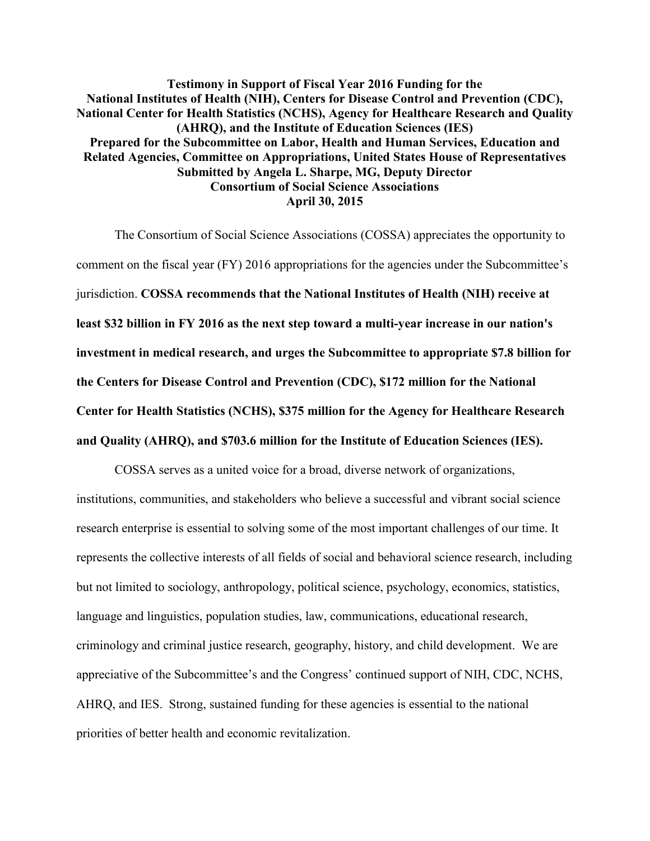**Testimony in Support of Fiscal Year 2016 Funding for the National Institutes of Health (NIH), Centers for Disease Control and Prevention (CDC), National Center for Health Statistics (NCHS), Agency for Healthcare Research and Quality (AHRQ), and the Institute of Education Sciences (IES) Prepared for the Subcommittee on Labor, Health and Human Services, Education and Related Agencies, Committee on Appropriations, United States House of Representatives Submitted by Angela L. Sharpe, MG, Deputy Director Consortium of Social Science Associations April 30, 2015**

The Consortium of Social Science Associations (COSSA) appreciates the opportunity to comment on the fiscal year (FY) 2016 appropriations for the agencies under the Subcommittee's jurisdiction. **COSSA recommends that the National Institutes of Health (NIH) receive at least \$32 billion in FY 2016 as the next step toward a multi-year increase in our nation's investment in medical research, and urges the Subcommittee to appropriate \$7.8 billion for the Centers for Disease Control and Prevention (CDC), \$172 million for the National Center for Health Statistics (NCHS), \$375 million for the Agency for Healthcare Research and Quality (AHRQ), and \$703.6 million for the Institute of Education Sciences (IES).**

COSSA serves as a united voice for a broad, diverse network of organizations, institutions, communities, and stakeholders who believe a successful and vibrant social science research enterprise is essential to solving some of the most important challenges of our time. It represents the collective interests of all fields of social and behavioral science research, including but not limited to sociology, anthropology, political science, psychology, economics, statistics, language and linguistics, population studies, law, communications, educational research, criminology and criminal justice research, geography, history, and child development. We are appreciative of the Subcommittee's and the Congress' continued support of NIH, CDC, NCHS, AHRQ, and IES. Strong, sustained funding for these agencies is essential to the national priorities of better health and economic revitalization.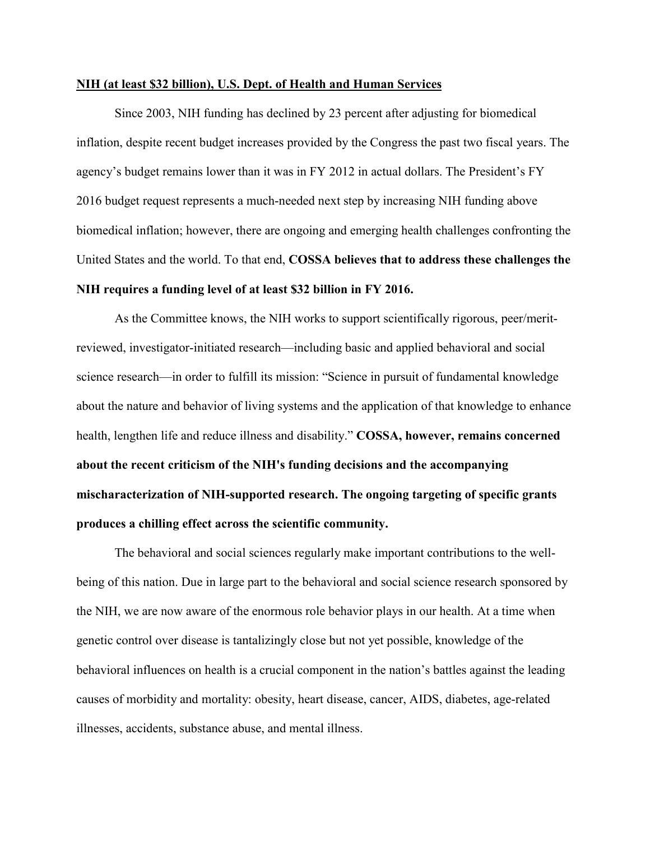## **NIH (at least \$32 billion), U.S. Dept. of Health and Human Services**

Since 2003, NIH funding has declined by 23 percent after adjusting for biomedical inflation, despite recent budget increases provided by the Congress the past two fiscal years. The agency's budget remains lower than it was in FY 2012 in actual dollars. The President's FY 2016 budget request represents a much-needed next step by increasing NIH funding above biomedical inflation; however, there are ongoing and emerging health challenges confronting the United States and the world. To that end, **COSSA believes that to address these challenges the NIH requires a funding level of at least \$32 billion in FY 2016.** 

As the Committee knows, the NIH works to support scientifically rigorous, peer/meritreviewed, investigator-initiated research—including basic and applied behavioral and social science research—in order to fulfill its mission: "Science in pursuit of fundamental knowledge about the nature and behavior of living systems and the application of that knowledge to enhance health, lengthen life and reduce illness and disability." **COSSA, however, remains concerned about the recent criticism of the NIH's funding decisions and the accompanying mischaracterization of NIH-supported research. The ongoing targeting of specific grants produces a chilling effect across the scientific community.** 

The behavioral and social sciences regularly make important contributions to the wellbeing of this nation. Due in large part to the behavioral and social science research sponsored by the NIH, we are now aware of the enormous role behavior plays in our health. At a time when genetic control over disease is tantalizingly close but not yet possible, knowledge of the behavioral influences on health is a crucial component in the nation's battles against the leading causes of morbidity and mortality: obesity, heart disease, cancer, AIDS, diabetes, age-related illnesses, accidents, substance abuse, and mental illness.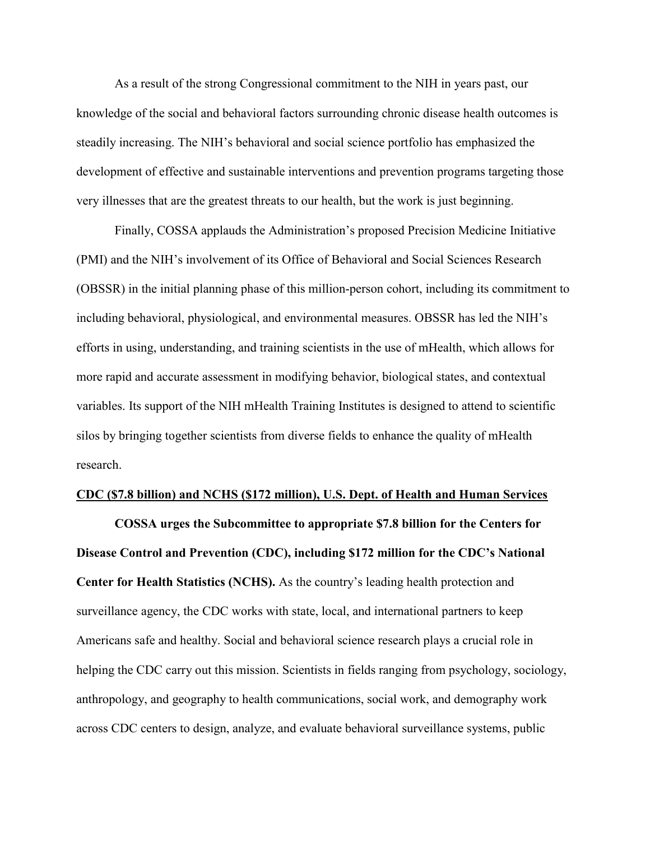As a result of the strong Congressional commitment to the NIH in years past, our knowledge of the social and behavioral factors surrounding chronic disease health outcomes is steadily increasing. The NIH's behavioral and social science portfolio has emphasized the development of effective and sustainable interventions and prevention programs targeting those very illnesses that are the greatest threats to our health, but the work is just beginning.

Finally, COSSA applauds the Administration's proposed Precision Medicine Initiative (PMI) and the NIH's involvement of its Office of Behavioral and Social Sciences Research (OBSSR) in the initial planning phase of this million-person cohort, including its commitment to including behavioral, physiological, and environmental measures. OBSSR has led the NIH's efforts in using, understanding, and training scientists in the use of mHealth, which allows for more rapid and accurate assessment in modifying behavior, biological states, and contextual variables. Its support of the NIH mHealth Training Institutes is designed to attend to scientific silos by bringing together scientists from diverse fields to enhance the quality of mHealth research.

## **CDC (\$7.8 billion) and NCHS (\$172 million), U.S. Dept. of Health and Human Services**

**COSSA urges the Subcommittee to appropriate \$7.8 billion for the Centers for Disease Control and Prevention (CDC), including \$172 million for the CDC's National Center for Health Statistics (NCHS).** As the country's leading health protection and surveillance agency, the CDC works with state, local, and international partners to keep Americans safe and healthy. Social and behavioral science research plays a crucial role in helping the CDC carry out this mission. Scientists in fields ranging from psychology, sociology, anthropology, and geography to health communications, social work, and demography work across CDC centers to design, analyze, and evaluate behavioral surveillance systems, public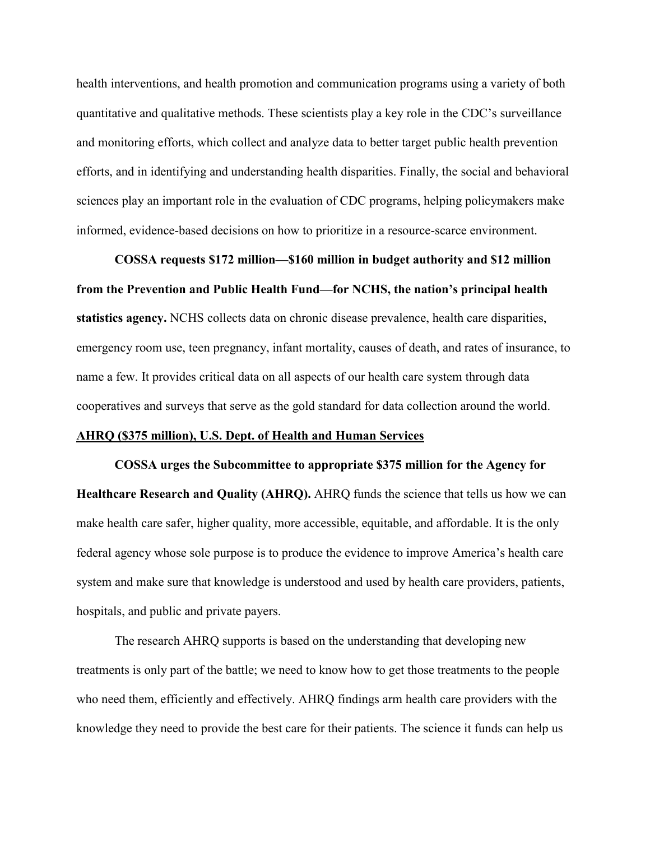health interventions, and health promotion and communication programs using a variety of both quantitative and qualitative methods. These scientists play a key role in the CDC's surveillance and monitoring efforts, which collect and analyze data to better target public health prevention efforts, and in identifying and understanding health disparities. Finally, the social and behavioral sciences play an important role in the evaluation of CDC programs, helping policymakers make informed, evidence-based decisions on how to prioritize in a resource-scarce environment.

**COSSA requests \$172 million—\$160 million in budget authority and \$12 million from the Prevention and Public Health Fund—for NCHS, the nation's principal health statistics agency.** NCHS collects data on chronic disease prevalence, health care disparities, emergency room use, teen pregnancy, infant mortality, causes of death, and rates of insurance, to name a few. It provides critical data on all aspects of our health care system through data cooperatives and surveys that serve as the gold standard for data collection around the world.

## **AHRQ (\$375 million), U.S. Dept. of Health and Human Services**

**COSSA urges the Subcommittee to appropriate \$375 million for the Agency for Healthcare Research and Quality (AHRQ).** AHRQ funds the science that tells us how we can make health care safer, higher quality, more accessible, equitable, and affordable. It is the only federal agency whose sole purpose is to produce the evidence to improve America's health care system and make sure that knowledge is understood and used by health care providers, patients, hospitals, and public and private payers.

The research AHRQ supports is based on the understanding that developing new treatments is only part of the battle; we need to know how to get those treatments to the people who need them, efficiently and effectively. AHRQ findings arm health care providers with the knowledge they need to provide the best care for their patients. The science it funds can help us